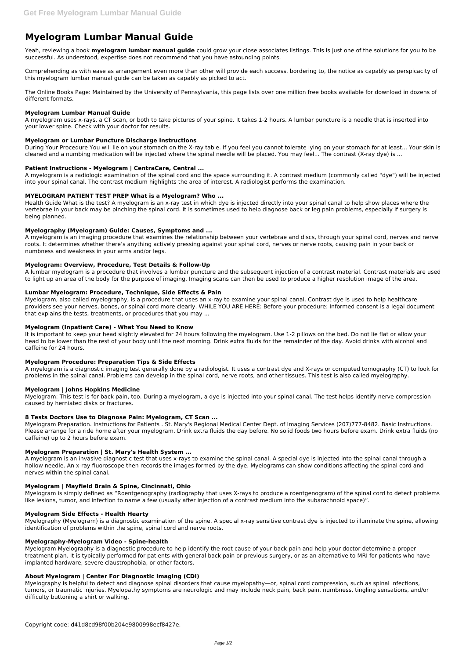# **Myelogram Lumbar Manual Guide**

Yeah, reviewing a book **myelogram lumbar manual guide** could grow your close associates listings. This is just one of the solutions for you to be successful. As understood, expertise does not recommend that you have astounding points.

Comprehending as with ease as arrangement even more than other will provide each success. bordering to, the notice as capably as perspicacity of this myelogram lumbar manual guide can be taken as capably as picked to act.

The Online Books Page: Maintained by the University of Pennsylvania, this page lists over one million free books available for download in dozens of different formats.

#### **Myelogram Lumbar Manual Guide**

A myelogram uses x-rays, a CT scan, or both to take pictures of your spine. It takes 1-2 hours. A lumbar puncture is a needle that is inserted into your lower spine. Check with your doctor for results.

#### **Myelogram or Lumbar Puncture Discharge Instructions**

During Your Procedure You will lie on your stomach on the X-ray table. If you feel you cannot tolerate lying on your stomach for at least... Your skin is cleaned and a numbing medication will be injected where the spinal needle will be placed. You may feel... The contrast (X-ray dye) is ...

#### **Patient Instructions - Myelogram | CentraCare, Central ...**

A myelogram is a radiologic examination of the spinal cord and the space surrounding it. A contrast medium (commonly called "dye") will be injected into your spinal canal. The contrast medium highlights the area of interest. A radiologist performs the examination.

#### **MYELOGRAM PATIENT TEST PREP What is a Myelogram? Who ...**

Health Guide What is the test? A myelogram is an x-ray test in which dye is injected directly into your spinal canal to help show places where the vertebrae in your back may be pinching the spinal cord. It is sometimes used to help diagnose back or leg pain problems, especially if surgery is being planned.

#### **Myelography (Myelogram) Guide: Causes, Symptoms and ...**

A myelogram is an imaging procedure that examines the relationship between your vertebrae and discs, through your spinal cord, nerves and nerve roots. It determines whether there's anything actively pressing against your spinal cord, nerves or nerve roots, causing pain in your back or numbness and weakness in your arms and/or legs.

#### **Myelogram: Overview, Procedure, Test Details & Follow-Up**

A lumbar myelogram is a procedure that involves a lumbar puncture and the subsequent injection of a contrast material. Contrast materials are used to light up an area of the body for the purpose of imaging. Imaging scans can then be used to produce a higher resolution image of the area.

#### **Lumbar Myelogram: Procedure, Technique, Side Effects & Pain**

Myelogram, also called myelography, is a procedure that uses an x-ray to examine your spinal canal. Contrast dye is used to help healthcare providers see your nerves, bones, or spinal cord more clearly. WHILE YOU ARE HERE: Before your procedure: Informed consent is a legal document that explains the tests, treatments, or procedures that you may ...

#### **Myelogram (Inpatient Care) - What You Need to Know**

It is important to keep your head slightly elevated for 24 hours following the myelogram. Use 1-2 pillows on the bed. Do not lie flat or allow your head to be lower than the rest of your body until the next morning. Drink extra fluids for the remainder of the day. Avoid drinks with alcohol and caffeine for 24 hours.

#### **Myelogram Procedure: Preparation Tips & Side Effects**

A myelogram is a diagnostic imaging test generally done by a radiologist. It uses a contrast dye and X-rays or computed tomography (CT) to look for problems in the spinal canal. Problems can develop in the spinal cord, nerve roots, and other tissues. This test is also called myelography.

#### **Myelogram | Johns Hopkins Medicine**

Myelogram: This test is for back pain, too. During a myelogram, a dye is injected into your spinal canal. The test helps identify nerve compression caused by herniated disks or fractures.

## **8 Tests Doctors Use to Diagnose Pain: Myelogram, CT Scan ...**

Myelogram Preparation. Instructions for Patients . St. Mary's Regional Medical Center Dept. of Imaging Services (207)777-8482. Basic Instructions. Please arrange for a ride home after your myelogram. Drink extra fluids the day before. No solid foods two hours before exam. Drink extra fluids (no caffeine) up to 2 hours before exam.

#### **Myelogram Preparation | St. Mary's Health System ...**

A myelogram is an invasive diagnostic test that uses x-rays to examine the spinal canal. A special dye is injected into the spinal canal through a hollow needle. An x-ray fluoroscope then records the images formed by the dye. Myelograms can show conditions affecting the spinal cord and nerves within the spinal canal.

#### **Myelogram | Mayfield Brain & Spine, Cincinnati, Ohio**

Myelogram is simply defined as "Roentgenography (radiography that uses X-rays to produce a roentgenogram) of the spinal cord to detect problems

like lesions, tumor, and infection to name a few (usually after injection of a contrast medium into the subarachnoid space)".

#### **Myelogram Side Effects - Health Hearty**

Myelography (Myelogram) is a diagnostic examination of the spine. A special x-ray sensitive contrast dye is injected to illuminate the spine, allowing identification of problems within the spine, spinal cord and nerve roots.

#### **Myelography-Myelogram Video - Spine-health**

Myelogram Myelography is a diagnostic procedure to help identify the root cause of your back pain and help your doctor determine a proper treatment plan. It is typically performed for patients with general back pain or previous surgery, or as an alternative to MRI for patients who have implanted hardware, severe claustrophobia, or other factors.

### **About Myelogram | Center For Diagnostic Imaging (CDI)**

Myelography is helpful to detect and diagnose spinal disorders that cause myelopathy—or, spinal cord compression, such as spinal infections, tumors, or traumatic injuries. Myelopathy symptoms are neurologic and may include neck pain, back pain, numbness, tingling sensations, and/or difficulty buttoning a shirt or walking.

Copyright code: d41d8cd98f00b204e9800998ecf8427e.